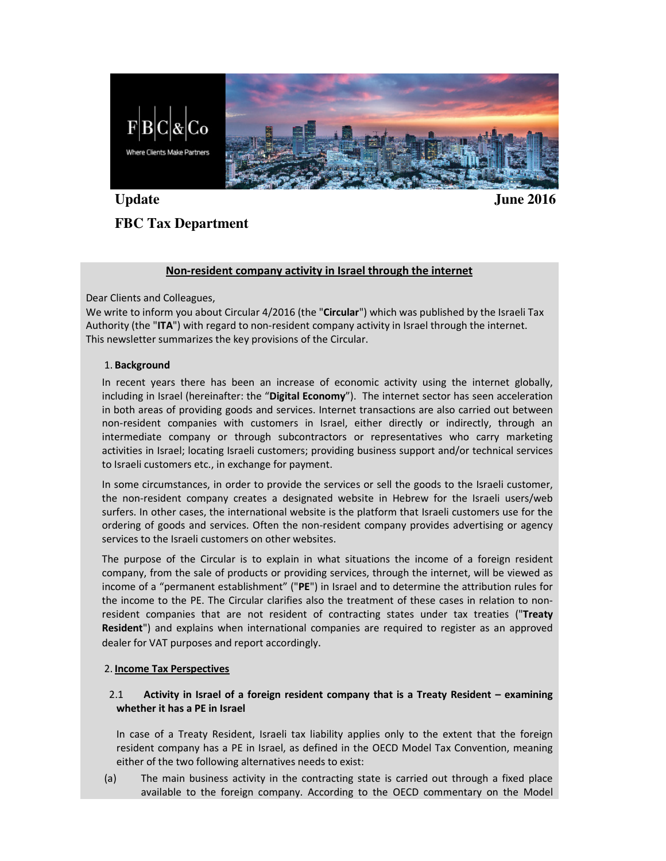

Update June 2016

# **FBC Tax Department**

# Non-resident company activity in Israel through the internet

Dear Clients and Colleagues,

We write to inform you about Circular 4/2016 (the "Circular") which was published by the Israeli Tax Authority (the "ITA") with regard to non-resident company activity in Israel through the internet. This newsletter summarizes the key provisions of the Circular.

#### 1. Background

In recent years there has been an increase of economic activity using the internet globally, including in Israel (hereinafter: the "Digital Economy"). The internet sector has seen acceleration in both areas of providing goods and services. Internet transactions are also carried out between non-resident companies with customers in Israel, either directly or indirectly, through an intermediate company or through subcontractors or representatives who carry marketing activities in Israel; locating Israeli customers; providing business support and/or technical services to Israeli customers etc., in exchange for payment.

In some circumstances, in order to provide the services or sell the goods to the Israeli customer, the non-resident company creates a designated website in Hebrew for the Israeli users/web surfers. In other cases, the international website is the platform that Israeli customers use for the ordering of goods and services. Often the non-resident company provides advertising or agency services to the Israeli customers on other websites.

The purpose of the Circular is to explain in what situations the income of a foreign resident company, from the sale of products or providing services, through the internet, will be viewed as income of a "permanent establishment" ("PE") in Israel and to determine the attribution rules for the income to the PE. The Circular clarifies also the treatment of these cases in relation to nonresident companies that are not resident of contracting states under tax treaties ("Treaty Resident") and explains when international companies are required to register as an approved dealer for VAT purposes and report accordingly.

# 2. Income Tax Perspectives

# 2.1 Activity in Israel of a foreign resident company that is a Treaty Resident – examining whether it has a PE in Israel

In case of a Treaty Resident, Israeli tax liability applies only to the extent that the foreign resident company has a PE in Israel, as defined in the OECD Model Tax Convention, meaning either of the two following alternatives needs to exist:

(a) The main business activity in the contracting state is carried out through a fixed place available to the foreign company. According to the OECD commentary on the Model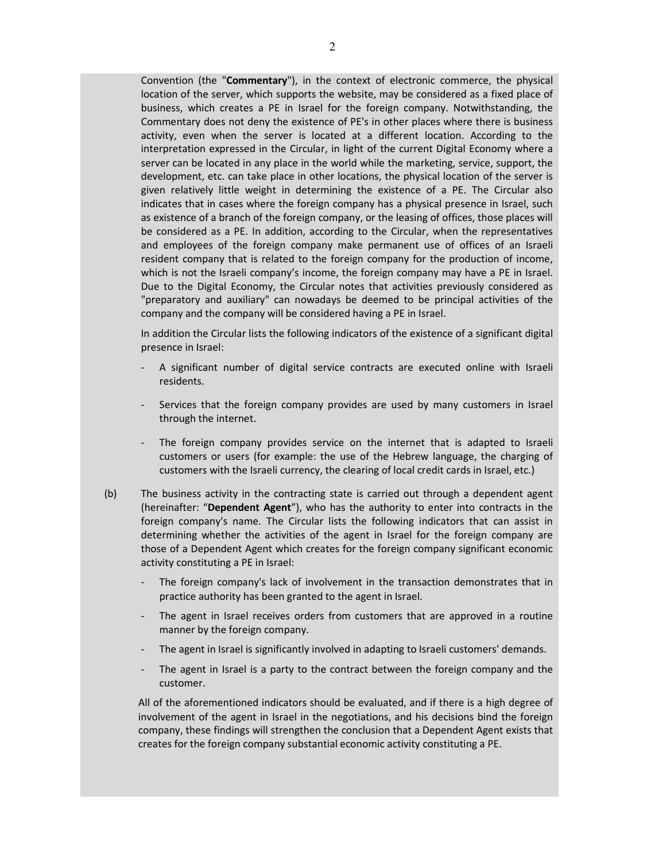Convention (the "Commentary"), in the context of electronic commerce, the physical location of the server, which supports the website, may be considered as a fixed place of business, which creates a PE in Israel for the foreign company. Notwithstanding, the Commentary does not deny the existence of PE's in other places where there is business activity, even when the server is located at a different location. According to the interpretation expressed in the Circular, in light of the current Digital Economy where a server can be located in any place in the world while the marketing, service, support, the development, etc. can take place in other locations, the physical location of the server is given relatively little weight in determining the existence of a PE. The Circular also indicates that in cases where the foreign company has a physical presence in Israel, such as existence of a branch of the foreign company, or the leasing of offices, those places will be considered as a PE. In addition, according to the Circular, when the representatives and employees of the foreign company make permanent use of offices of an Israeli resident company that is related to the foreign company for the production of income, which is not the Israeli company's income, the foreign company may have a PE in Israel. Due to the Digital Economy, the Circular notes that activities previously considered as "preparatory and auxiliary" can nowadays be deemed to be principal activities of the company and the company will be considered having a PE in Israel.

In addition the Circular lists the following indicators of the existence of a significant digital presence in Israel:

- A significant number of digital service contracts are executed online with Israeli residents.
- Services that the foreign company provides are used by many customers in Israel through the internet.
- The foreign company provides service on the internet that is adapted to Israeli customers or users (for example: the use of the Hebrew language, the charging of customers with the Israeli currency, the clearing of local credit cards in Israel, etc.)
- (b) The business activity in the contracting state is carried out through a dependent agent (hereinafter: "Dependent Agent"), who has the authority to enter into contracts in the foreign company's name. The Circular lists the following indicators that can assist in determining whether the activities of the agent in Israel for the foreign company are those of a Dependent Agent which creates for the foreign company significant economic activity constituting a PE in Israel:
	- The foreign company's lack of involvement in the transaction demonstrates that in practice authority has been granted to the agent in Israel.
	- The agent in Israel receives orders from customers that are approved in a routine manner by the foreign company.
	- The agent in Israel is significantly involved in adapting to Israeli customers' demands.
	- The agent in Israel is a party to the contract between the foreign company and the customer.

All of the aforementioned indicators should be evaluated, and if there is a high degree of involvement of the agent in Israel in the negotiations, and his decisions bind the foreign company, these findings will strengthen the conclusion that a Dependent Agent exists that creates for the foreign company substantial economic activity constituting a PE.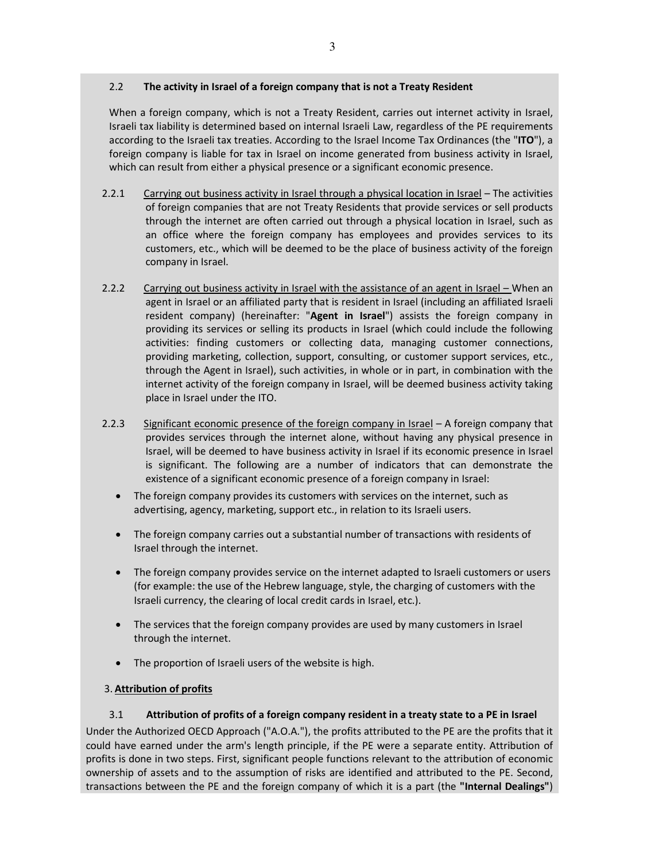# 2.2 The activity in Israel of a foreign company that is not a Treaty Resident

When a foreign company, which is not a Treaty Resident, carries out internet activity in Israel, Israeli tax liability is determined based on internal Israeli Law, regardless of the PE requirements according to the Israeli tax treaties. According to the Israel Income Tax Ordinances (the "ITO"), a foreign company is liable for tax in Israel on income generated from business activity in Israel, which can result from either a physical presence or a significant economic presence.

- 2.2.1 Carrying out business activity in Israel through a physical location in Israel The activities of foreign companies that are not Treaty Residents that provide services or sell products through the internet are often carried out through a physical location in Israel, such as an office where the foreign company has employees and provides services to its customers, etc., which will be deemed to be the place of business activity of the foreign company in Israel.
- 2.2.2 Carrying out business activity in Israel with the assistance of an agent in Israel When an agent in Israel or an affiliated party that is resident in Israel (including an affiliated Israeli resident company) (hereinafter: "Agent in Israel") assists the foreign company in providing its services or selling its products in Israel (which could include the following activities: finding customers or collecting data, managing customer connections, providing marketing, collection, support, consulting, or customer support services, etc., through the Agent in Israel), such activities, in whole or in part, in combination with the internet activity of the foreign company in Israel, will be deemed business activity taking place in Israel under the ITO.
- 2.2.3 Significant economic presence of the foreign company in Israel A foreign company that provides services through the internet alone, without having any physical presence in Israel, will be deemed to have business activity in Israel if its economic presence in Israel is significant. The following are a number of indicators that can demonstrate the existence of a significant economic presence of a foreign company in Israel:
	- The foreign company provides its customers with services on the internet, such as advertising, agency, marketing, support etc., in relation to its Israeli users.
	- The foreign company carries out a substantial number of transactions with residents of Israel through the internet.
	- The foreign company provides service on the internet adapted to Israeli customers or users (for example: the use of the Hebrew language, style, the charging of customers with the Israeli currency, the clearing of local credit cards in Israel, etc.).
	- The services that the foreign company provides are used by many customers in Israel through the internet.
	- The proportion of Israeli users of the website is high.

# 3. Attribution of profits

# 3.1 Attribution of profits of a foreign company resident in a treaty state to a PE in Israel

Under the Authorized OECD Approach ("A.O.A."), the profits attributed to the PE are the profits that it could have earned under the arm's length principle, if the PE were a separate entity. Attribution of profits is done in two steps. First, significant people functions relevant to the attribution of economic ownership of assets and to the assumption of risks are identified and attributed to the PE. Second, transactions between the PE and the foreign company of which it is a part (the "Internal Dealings")